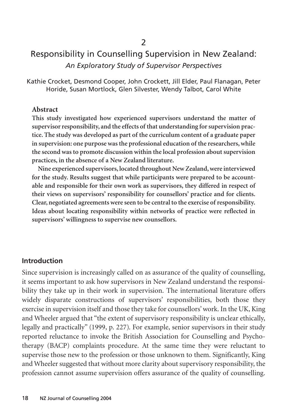# Responsibility in Counselling Supervision in New Zealand: *An Exploratory Study of Supervisor Perspectives*

Kathie Crocket, Desmond Cooper, John Crockett, Jill Elder, Paul Flanagan, Peter Horide, Susan Mortlock, Glen Silvester, Wendy Talbot, Carol White

#### **Abstract**

**This study investigated how experienced supervisors understand the matter of supervisor responsibility, and the effects of that understanding for supervision practice. The study was developed as part of the curriculum content of a graduate paper in supervision: one purpose was the professional education of the researchers, while the second was to promote discussion within the local profession about supervision practices, in the absence of a New Zealand literature.**

**Nine experienced supervisors, located throughout New Zealand, were interviewed for the study. Results suggest that while participants were prepared to be accountable and responsible for their own work as supervisors, they differed in respect of their views on supervisors' responsibility for counsellors' practice and for clients. Clear, negotiated agreements were seen to be central to the exercise of responsibility. Ideas about locating responsibility within networks of practice were reflected in supervisors' willingness to supervise new counsellors.**

#### **Introduction**

Since supervision is increasingly called on as assurance of the quality of counselling, it seems important to ask how supervisors in New Zealand understand the responsibility they take up in their work in supervision. The international literature offers widely disparate constructions of supervisors' responsibilities, both those they exercise in supervision itself and those they take for counsellors' work. In the UK, King and Wheeler argued that "the extent of supervisory responsibility is unclear ethically, legally and practically" (1999, p. 227). For example, senior supervisors in their study reported reluctance to invoke the British Association for Counselling and Psychotherapy (BACP) complaints procedure. At the same time they were reluctant to supervise those new to the profession or those unknown to them. Significantly, King and Wheeler suggested that without more clarity about supervisory responsibility, the profession cannot assume supervision offers assurance of the quality of counselling.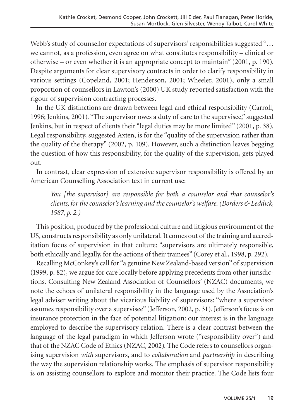Webb's study of counsellor expectations of supervisors' responsibilities suggested "… we cannot, as a profession, even agree on what constitutes responsibility – clinical or otherwise – or even whether it is an appropriate concept to maintain" (2001, p. 190). Despite arguments for clear supervisory contracts in order to clarify responsibility in various settings (Copeland, 2001; Henderson, 2001; Wheeler, 2001), only a small proportion of counsellors in Lawton's (2000) UK study reported satisfaction with the rigour of supervision contracting processes.

In the UK distinctions are drawn between legal and ethical responsibility (Carroll, 1996; Jenkins, 2001). "The supervisor owes a duty of care to the supervisee," suggested Jenkins, but in respect of clients their "legal duties may be more limited" (2001, p. 38). Legal responsibility, suggested Axten, is for the "quality of the supervision rather than the quality of the therapy" (2002, p. 109). However, such a distinction leaves begging the question of how this responsibility, for the quality of the supervision, gets played out.

In contrast, clear expression of extensive supervisor responsibility is offered by an American Counselling Association text in current use:

*You [the supervisor] are responsible for both a counselor and that counselor's clients, for the counselor's learning and the counselor's welfare. (Borders & Leddick, 1987, p. 2.)*

This position, produced by the professional culture and litigious environment of the US, constructs responsibility as only unilateral. It comes out of the training and accreditation focus of supervision in that culture: "supervisors are ultimately responsible, both ethically and legally, for the actions of their trainees" (Corey et al., 1998, p. 292).

Recalling McConkey's call for "a genuine New Zealand-based version" of supervision (1999, p. 82), we argue for care locally before applying precedents from other jurisdictions. Consulting New Zealand Association of Counsellors' (NZAC) documents, we note the echoes of unilateral responsibility in the language used by the Association's legal adviser writing about the vicarious liability of supervisors: "where a supervisor assumes responsibility over a supervisee" (Jefferson, 2002, p. 31). Jefferson's focus is on insurance protection in the face of potential litigation: our interest is in the language employed to describe the supervisory relation. There is a clear contrast between the language of the legal paradigm in which Jefferson wrote ("responsibility over") and that of the NZAC Code of Ethics (NZAC, 2002). The Code refers to counsellors organising supervision *with* supervisors, and to *collaboration* and *partnership* in describing the way the supervision relationship works. The emphasis of supervisor responsibility is on assisting counsellors to explore and monitor their practice. The Code lists four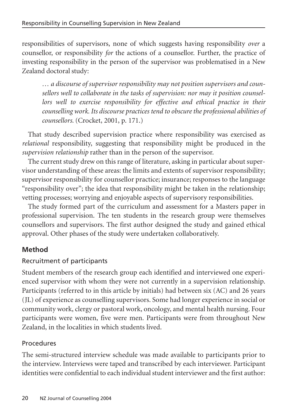responsibilities of supervisors, none of which suggests having responsibility *over* a counsellor, or responsibility *for* the actions of a counsellor. Further, the practice of investing responsibility in the person of the supervisor was problematised in a New Zealand doctoral study:

*… a discourse of supervisor responsibility may not position supervisors and counsellors well to collaborate in the tasks of supervision: nor may it position counsellors well to exercise responsibility for effective and ethical practice in their counselling work. Its discourse practices tend to obscure the professional abilities of counsellors.* (Crocket, 2001, p. 171.)

That study described supervision practice where responsibility was exercised as *relational* responsibility, suggesting that responsibility might be produced in the *supervision relationship* rather than in the person of the supervisor.

The current study drew on this range of literature, asking in particular about supervisor understanding of these areas: the limits and extents of supervisor responsibility; supervisor responsibility for counsellor practice; insurance; responses to the language "responsibility over"; the idea that responsibility might be taken in the relationship; vetting processes; worrying and enjoyable aspects of supervisory responsibilities.

The study formed part of the curriculum and assessment for a Masters paper in professional supervision. The ten students in the research group were themselves counsellors and supervisors. The first author designed the study and gained ethical approval. Other phases of the study were undertaken collaboratively.

### **Method**

### Recruitment of participants

Student members of the research group each identified and interviewed one experienced supervisor with whom they were not currently in a supervision relationship. Participants (referred to in this article by initials) had between six (AC) and 26 years (JL) of experience as counselling supervisors. Some had longer experience in social or community work, clergy or pastoral work, oncology, and mental health nursing. Four participants were women, five were men. Participants were from throughout New Zealand, in the localities in which students lived.

#### Procedures

The semi-structured interview schedule was made available to participants prior to the interview. Interviews were taped and transcribed by each interviewer. Participant identities were confidential to each individual student interviewer and the first author: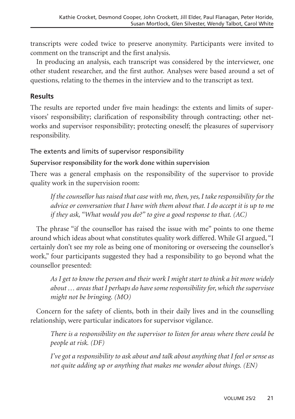transcripts were coded twice to preserve anonymity. Participants were invited to comment on the transcript and the first analysis.

In producing an analysis, each transcript was considered by the interviewer, one other student researcher, and the first author. Analyses were based around a set of questions, relating to the themes in the interview and to the transcript as text.

### **Results**

The results are reported under five main headings: the extents and limits of supervisors' responsibility; clarification of responsibility through contracting; other networks and supervisor responsibility; protecting oneself; the pleasures of supervisory responsibility.

### The extents and limits of supervisor responsibility

### **Supervisor responsibility for the work done within supervision**

There was a general emphasis on the responsibility of the supervisor to provide quality work in the supervision room:

*If the counsellor has raised that case with me, then, yes, I take responsibility for the advice or conversation that I have with them about that. I do accept it is up to me if they ask, "What would you do?" to give a good response to that. (AC)*

The phrase "if the counsellor has raised the issue with me" points to one theme around which ideas about what constitutes quality work differed. While GI argued, "I certainly don't see my role as being one of monitoring or overseeing the counsellor's work," four participants suggested they had a responsibility to go beyond what the counsellor presented:

*As I get to know the person and their work I might start to think a bit more widely about … areas that I perhaps do have some responsibility for, which the supervisee might not be bringing. (MO)*

Concern for the safety of clients, both in their daily lives and in the counselling relationship, were particular indicators for supervisor vigilance.

*There is a responsibility on the supervisor to listen for areas where there could be people at risk. (DF)*

*I've got a responsibility to ask about and talk about anything that I feel or sense as not quite adding up or anything that makes me wonder about things. (EN)*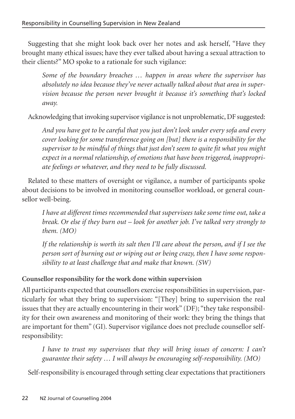Suggesting that she might look back over her notes and ask herself, "Have they brought many ethical issues; have they ever talked about having a sexual attraction to their clients?" MO spoke to a rationale for such vigilance:

*Some of the boundary breaches … happen in areas where the supervisor has absolutely no idea because they've never actually talked about that area in supervision because the person never brought it because it's something that's locked away.*

Acknowledging that invoking supervisor vigilance is not unproblematic, DF suggested:

*And you have got to be careful that you just don't look under every sofa and every cover looking for some transference going on [but] there is a responsibility for the supervisor to be mindful of things that just don't seem to quite fit what you might expect in a normal relationship, of emotions that have been triggered, inappropriate feelings or whatever, and they need to be fully discussed.*

Related to these matters of oversight or vigilance, a number of participants spoke about decisions to be involved in monitoring counsellor workload, or general counsellor well-being.

*I have at different times recommended that supervisees take some time out, take a break. Or else if they burn out – look for another job. I've talked very strongly to them. (MO)*

*If the relationship is worth its salt then I'll care about the person, and if I see the person sort of burning out or wiping out or being crazy, then I have some responsibility to at least challenge that and make that known. (SW)*

## **Counsellor responsibility for the work done within supervision**

All participants expected that counsellors exercise responsibilities in supervision, particularly for what they bring to supervision: "[They] bring to supervision the real issues that they are actually encountering in their work" (DF); "they take responsibility for their own awareness and monitoring of their work: they bring the things that are important for them" (GI). Supervisor vigilance does not preclude counsellor selfresponsibility:

*I have to trust my supervisees that they will bring issues of concern: I can't guarantee their safety … I will always be encouraging self-responsibility. (MO)*

Self-responsibility is encouraged through setting clear expectations that practitioners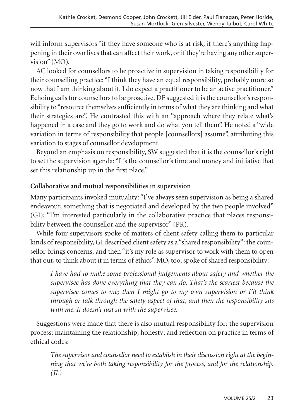will inform supervisors "if they have someone who is at risk, if there's anything happening in their own lives that can affect their work, or if they're having any other supervision" (MO).

AC looked for counsellors to be proactive in supervision in taking responsibility for their counselling practice: "I think they have an equal responsibility, probably more so now that I am thinking about it. I do expect a practitioner to be an active practitioner." Echoing calls for counsellors to be proactive, DF suggested it is the counsellor's responsibility to "resource themselves sufficiently in terms of what they are thinking and what their strategies are". He contrasted this with an "approach where they relate what's happened in a case and they go to work and do what you tell them". He noted a "wide variation in terms of responsibility that people [counsellors] assume", attributing this variation to stages of counsellor development.

Beyond an emphasis on responsibility, SW suggested that it is the counsellor's right to set the supervision agenda: "It's the counsellor's time and money and initiative that set this relationship up in the first place."

#### **Collaborative and mutual responsibilities in supervision**

Many participants invoked mutuality: "I've always seen supervision as being a shared endeavour, something that is negotiated and developed by the two people involved" (GI); "I'm interested particularly in the collaborative practice that places responsibility between the counsellor and the supervisor" (PR).

While four supervisors spoke of matters of client safety calling them to particular kinds of responsibility, GI described client safety as a "shared responsibility": the counsellor brings concerns, and then "it's my role as supervisor to work with them to open that out, to think about it in terms of ethics". MO, too, spoke of shared responsibility:

*I have had to make some professional judgements about safety and whether the supervisee has done everything that they can do. That's the scariest because the supervisee comes to me; then I might go to my own supervision or I'll think through or talk through the safety aspect of that, and then the responsibility sits with me. It doesn't just sit with the supervisee.*

Suggestions were made that there is also mutual responsibility for: the supervision process; maintaining the relationship; honesty; and reflection on practice in terms of ethical codes:

*The supervisor and counsellor need to establish in their discussion right at the beginning that we're both taking responsibility for the process, and for the relationship. (JL)*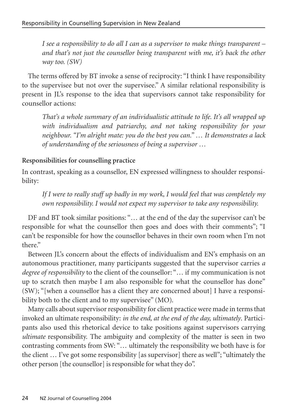*I see a responsibility to do all I can as a supervisor to make things transparent – and that's not just the counsellor being transparent with me, it's back the other way too. (SW)*

The terms offered by BT invoke a sense of reciprocity: "I think I have responsibility to the supervisee but not over the supervisee." A similar relational responsibility is present in JL's response to the idea that supervisors cannot take responsibility for counsellor actions:

*That's a whole summary of an individualistic attitude to life. It's all wrapped up with individualism and patriarchy, and not taking responsibility for your neighbour. "I'm alright mate: you do the best you can." … It demonstrates a lack of understanding of the seriousness of being a supervisor …* 

#### **Responsibilities for counselling practice**

In contrast, speaking as a counsellor, EN expressed willingness to shoulder responsibility:

*If I were to really stuff up badly in my work, I would feel that was completely my own responsibility. I would not expect my supervisor to take any responsibility.*

DF and BT took similar positions: "… at the end of the day the supervisor can't be responsible for what the counsellor then goes and does with their comments"; "I can't be responsible for how the counsellor behaves in their own room when I'm not there."

Between JL's concern about the effects of individualism and EN's emphasis on an autonomous practitioner, many participants suggested that the supervisor carries *a degree of responsibility* to the client of the counsellor: "… if my communication is not up to scratch then maybe I am also responsible for what the counsellor has done" (SW); "[when a counsellor has a client they are concerned about] I have a responsibility both to the client and to my supervisee" (MO).

Many calls about supervisor responsibility for client practice were made in terms that invoked an ultimate responsibility: *in the end, at the end of the day, ultimately*. Participants also used this rhetorical device to take positions against supervisors carrying *ultimate* responsibility. The ambiguity and complexity of the matter is seen in two contrasting comments from SW: "… ultimately the responsibility we both have is for the client … I've got some responsibility [as supervisor] there as well"; "ultimately the other person [the counsellor] is responsible for what they do".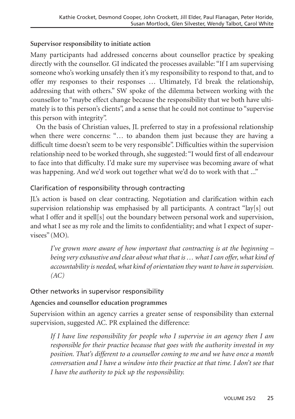#### **Supervisor responsibility to initiate action**

Many participants had addressed concerns about counsellor practice by speaking directly with the counsellor. GI indicated the processes available: "If I am supervising someone who's working unsafely then it's my responsibility to respond to that, and to offer my responses to their responses … Ultimately, I'd break the relationship, addressing that with others." SW spoke of the dilemma between working with the counsellor to "maybe effect change because the responsibility that we both have ultimately is to this person's clients", and a sense that he could not continue to "supervise this person with integrity".

On the basis of Christian values, JL preferred to stay in a professional relationship when there were concerns: "… to abandon them just because they are having a difficult time doesn't seem to be very responsible". Difficulties within the supervision relationship need to be worked through, she suggested: "I would first of all endeavour to face into that difficulty. I'd make sure my supervisee was becoming aware of what was happening. And we'd work out together what we'd do to work with that ..."

### Clarification of responsibility through contracting

JL's action is based on clear contracting. Negotiation and clarification within each supervision relationship was emphasised by all participants. A contract "lay[s] out what I offer and it spell[s] out the boundary between personal work and supervision, and what I see as my role and the limits to confidentiality; and what I expect of supervisees" (MO).

*I've grown more aware of how important that contracting is at the beginning – being very exhaustive and clear about what that is … what I can offer, what kind of accountability is needed, what kind of orientation they want to have in supervision. (AC)*

### Other networks in supervisor responsibility

### **Agencies and counsellor education programmes**

Supervision within an agency carries a greater sense of responsibility than external supervision, suggested AC. PR explained the difference:

*If I have line responsibility for people who I supervise in an agency then I am responsible for their practice because that goes with the authority invested in my position. That's different to a counsellor coming to me and we have once a month conversation and I have a window into their practice at that time. I don't see that I have the authority to pick up the responsibility.*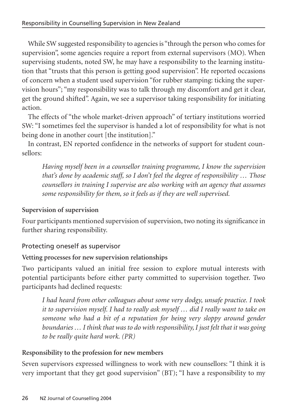While SW suggested responsibility to agencies is "through the person who comes for supervision", some agencies require a report from external supervisors (MO). When supervising students, noted SW, he may have a responsibility to the learning institution that "trusts that this person is getting good supervision". He reported occasions of concern when a student used supervision "for rubber stamping: ticking the supervision hours"; "my responsibility was to talk through my discomfort and get it clear, get the ground shifted". Again, we see a supervisor taking responsibility for initiating action.

The effects of "the whole market-driven approach" of tertiary institutions worried SW: "I sometimes feel the supervisor is handed a lot of responsibility for what is not being done in another court [the institution]."

In contrast, EN reported confidence in the networks of support for student counsellors:

*Having myself been in a counsellor training programme, I know the supervision that's done by academic staff, so I don't feel the degree of responsibility … Those counsellors in training I supervise are also working with an agency that assumes some responsibility for them, so it feels as if they are well supervised.*

#### **Supervision of supervision**

Four participants mentioned supervision of supervision, two noting its significance in further sharing responsibility.

#### Protecting oneself as supervisor

#### **Vetting processes for new supervision relationships**

Two participants valued an initial free session to explore mutual interests with potential participants before either party committed to supervision together. Two participants had declined requests:

*I had heard from other colleagues about some very dodgy, unsafe practice. I took it to supervision myself. I had to really ask myself … did I really want to take on someone who had a bit of a reputation for being very sloppy around gender boundaries … I think that was to do with responsibility, I just felt that it was going to be really quite hard work. (PR)*

#### **Responsibility to the profession for new members**

Seven supervisors expressed willingness to work with new counsellors: "I think it is very important that they get good supervision" (BT); "I have a responsibility to my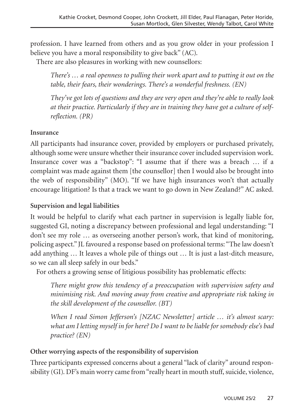profession. I have learned from others and as you grow older in your profession I believe you have a moral responsibility to give back" (AC).

There are also pleasures in working with new counsellors:

*There's … a real openness to pulling their work apart and to putting it out on the table, their fears, their wonderings. There's a wonderful freshness. (EN)* 

*They've got lots of questions and they are very open and they're able to really look at their practice. Particularly if they are in training they have got a culture of selfreflection. (PR)*

### **Insurance**

All participants had insurance cover, provided by employers or purchased privately, although some were unsure whether their insurance cover included supervision work. Insurance cover was a "backstop": "I assume that if there was a breach … if a complaint was made against them [the counsellor] then I would also be brought into the web of responsibility" (MO). "If we have high insurances won't that actually encourage litigation? Is that a track we want to go down in New Zealand?" AC asked.

### **Supervision and legal liabilities**

It would be helpful to clarify what each partner in supervision is legally liable for, suggested GI, noting a discrepancy between professional and legal understanding: "I don't see my role … as overseeing another person's work, that kind of monitoring, policing aspect." JL favoured a response based on professional terms: "The law doesn't add anything … It leaves a whole pile of things out … It is just a last-ditch measure, so we can all sleep safely in our beds."

For others a growing sense of litigious possibility has problematic effects:

*There might grow this tendency of a preoccupation with supervision safety and minimising risk. And moving away from creative and appropriate risk taking in the skill development of the counsellor. (BT)*

*When I read Simon Jefferson's [NZAC Newsletter] article … it's almost scary: what am I letting myself in for here? Do I want to be liable for somebody else's bad practice? (EN)*

#### **Other worrying aspects of the responsibility of supervision**

Three participants expressed concerns about a general "lack of clarity" around responsibility (GI). DF's main worry came from "really heart in mouth stuff, suicide, violence,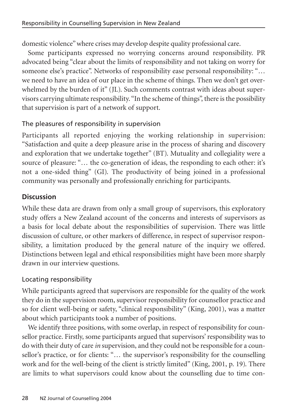domestic violence" where crises may develop despite quality professional care.

Some participants expressed no worrying concerns around responsibility. PR advocated being "clear about the limits of responsibility and not taking on worry for someone else's practice". Networks of responsibility ease personal responsibility: "… we need to have an idea of our place in the scheme of things. Then we don't get overwhelmed by the burden of it" (JL). Such comments contrast with ideas about supervisors carrying ultimate responsibility. "In the scheme of things", there is the possibility that supervision is part of a network of support.

### The pleasures of responsibility in supervision

Participants all reported enjoying the working relationship in supervision: "Satisfaction and quite a deep pleasure arise in the process of sharing and discovery and exploration that we undertake together" (BT). Mutuality and collegiality were a source of pleasure: "... the co-generation of ideas, the responding to each other: it's not a one-sided thing" (GI). The productivity of being joined in a professional community was personally and professionally enriching for participants.

### **Discussion**

While these data are drawn from only a small group of supervisors, this exploratory study offers a New Zealand account of the concerns and interests of supervisors as a basis for local debate about the responsibilities of supervision. There was little discussion of culture, or other markers of difference, in respect of supervisor responsibility, a limitation produced by the general nature of the inquiry we offered. Distinctions between legal and ethical responsibilities might have been more sharply drawn in our interview questions.

#### Locating responsibility

While participants agreed that supervisors are responsible for the quality of the work they do in the supervision room, supervisor responsibility for counsellor practice and so for client well-being or safety, "clinical responsibility" (King, 2001), was a matter about which participants took a number of positions.

We identify three positions, with some overlap, in respect of responsibility for counsellor practice. Firstly, some participants argued that supervisors' responsibility was to do with their duty of care *in* supervision, and they could not be responsible for a counsellor's practice, or for clients: "… the supervisor's responsibility for the counselling work and for the well-being of the client is strictly limited" (King, 2001, p. 19). There are limits to what supervisors could know about the counselling due to time con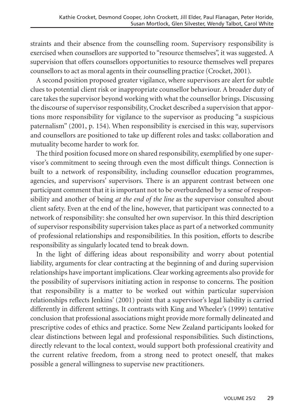straints and their absence from the counselling room. Supervisory responsibility is exercised when counsellors are supported to "resource themselves", it was suggested. A supervision that offers counsellors opportunities to resource themselves well prepares counsellors to act as moral agents in their counselling practice (Crocket, 2001).

A second position proposed greater vigilance, where supervisors are alert for subtle clues to potential client risk or inappropriate counsellor behaviour. A broader duty of care takes the supervisor beyond working with what the counsellor brings. Discussing the discourse of supervisor responsibility, Crocket described a supervision that apportions more responsibility for vigilance to the supervisor as producing "a suspicious paternalism" (2001, p. 154). When responsibility is exercised in this way, supervisors and counsellors are positioned to take up different roles and tasks: collaboration and mutuality become harder to work for.

The third position focused more on shared responsibility, exemplified by one supervisor's commitment to seeing through even the most difficult things. Connection is built to a network of responsibility, including counsellor education programmes, agencies, and supervisors' supervisors. There is an apparent contrast between one participant comment that it is important not to be overburdened by a sense of responsibility and another of being *at the end of the line* as the supervisor consulted about client safety. Even at the end of the line, however, that participant was connected to a network of responsibility: she consulted her own supervisor. In this third description of supervisor responsibility supervision takes place as part of a networked community of professional relationships and responsibilities. In this position, efforts to describe responsibility as singularly located tend to break down.

In the light of differing ideas about responsibility and worry about potential liability, arguments for clear contracting at the beginning of and during supervision relationships have important implications. Clear working agreements also provide for the possibility of supervisors initiating action in response to concerns. The position that responsibility is a matter to be worked out within particular supervision relationships reflects Jenkins' (2001) point that a supervisor's legal liability is carried differently in different settings. It contrasts with King and Wheeler's (1999) tentative conclusion that professional associations might provide more formally delineated and prescriptive codes of ethics and practice. Some New Zealand participants looked for clear distinctions between legal and professional responsibilities. Such distinctions, directly relevant to the local context, would support both professional creativity and the current relative freedom, from a strong need to protect oneself, that makes possible a general willingness to supervise new practitioners.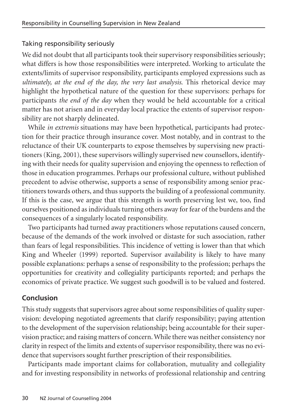### Taking responsibility seriously

We did not doubt that all participants took their supervisory responsibilities seriously; what differs is how those responsibilities were interpreted. Working to articulate the extents/limits of supervisor responsibility, participants employed expressions such as *ultimately, at the end of the day, the very last analysis*. This rhetorical device may highlight the hypothetical nature of the question for these supervisors: perhaps for participants *the end of the day* when they would be held accountable for a critical matter has not arisen and in everyday local practice the extents of supervisor responsibility are not sharply delineated.

While *in extremis* situations may have been hypothetical, participants had protection for their practice through insurance cover. Most notably, and in contrast to the reluctance of their UK counterparts to expose themselves by supervising new practitioners (King, 2001), these supervisors willingly supervised new counsellors, identifying with their needs for quality supervision and enjoying the openness to reflection of those in education programmes. Perhaps our professional culture, without published precedent to advise otherwise, supports a sense of responsibility among senior practitioners towards others, and thus supports the building of a professional community. If this is the case, we argue that this strength is worth preserving lest we, too, find ourselves positioned as individuals turning others away for fear of the burdens and the consequences of a singularly located responsibility.

Two participants had turned away practitioners whose reputations caused concern, because of the demands of the work involved or distaste for such association, rather than fears of legal responsibilities. This incidence of vetting is lower than that which King and Wheeler (1999) reported. Supervisor availability is likely to have many possible explanations: perhaps a sense of responsibility to the profession; perhaps the opportunities for creativity and collegiality participants reported; and perhaps the economics of private practice. We suggest such goodwill is to be valued and fostered.

### **Conclusion**

This study suggests that supervisors agree about some responsibilities of quality supervision: developing negotiated agreements that clarify responsibility; paying attention to the development of the supervision relationship; being accountable for their supervision practice; and raising matters of concern. While there was neither consistency nor clarity in respect of the limits and extents of supervisor responsibility, there was no evidence that supervisors sought further prescription of their responsibilities.

Participants made important claims for collaboration, mutuality and collegiality and for investing responsibility in networks of professional relationship and centring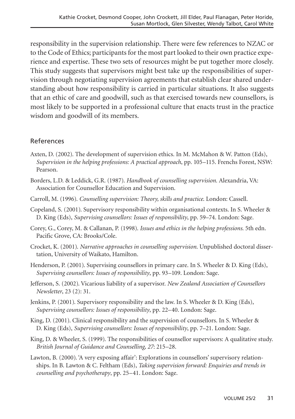responsibility in the supervision relationship. There were few references to NZAC or to the Code of Ethics; participants for the most part looked to their own practice experience and expertise. These two sets of resources might be put together more closely. This study suggests that supervisors might best take up the responsibilities of supervision through negotiating supervision agreements that establish clear shared understanding about how responsibility is carried in particular situations. It also suggests that an ethic of care and goodwill, such as that exercised towards new counsellors, is most likely to be supported in a professional culture that enacts trust in the practice wisdom and goodwill of its members.

#### References

- Axten, D. (2002). The development of supervision ethics. In M. McMahon & W. Patton (Eds), *Supervision in the helping professions: A practical approach*, pp. 105–115. Frenchs Forest, NSW: Pearson.
- Borders, L.D. & Leddick, G.R. (1987). *Handbook of counselling supervision.* Alexandria, VA: Association for Counsellor Education and Supervision.
- Carroll, M. (1996). *Counselling supervision: Theory, skills and practice*. London: Cassell.
- Copeland, S. (2001). Supervisory responsibility within organisational contexts. In S. Wheeler & D. King (Eds), *Supervising counsellors: Issues of responsibility*, pp. 59–74. London: Sage.
- Corey, G., Corey, M. & Callanan, P. (1998). *Issues and ethics in the helping professions*. 5th edn. Pacific Grove, CA: Brooks/Cole.
- Crocket, K. (2001). *Narrative approaches in counselling supervision*. Unpublished doctoral dissertation, University of Waikato, Hamilton.
- Henderson, P. (2001). Supervising counsellors in primary care. In S. Wheeler & D. King (Eds), *Supervising counsellors: Issues of responsibility*, pp. 93–109. London: Sage.
- Jefferson, S. (2002). Vicarious liability of a supervisor. *New Zealand Association of Counsellors Newsletter*, 23 (2): 31.
- Jenkins, P. (2001). Supervisory responsibility and the law. In S. Wheeler & D. King (Eds), *Supervising counsellors: Issues of responsibility*, pp. 22–40. London: Sage.
- King, D. (2001). Clinical responsibility and the supervision of counsellors. In S. Wheeler & D. King (Eds), *Supervising counsellors: Issues of responsibility*, pp. 7–21. London: Sage.
- King, D. & Wheeler, S. (1999). The responsibilities of counsellor supervisors: A qualitative study. *British Journal of Guidance and Counselling, 27*: 215–28.
- Lawton, B. (2000). 'A very exposing affair': Explorations in counsellors' supervisory relationships. In B. Lawton & C. Feltham (Eds), *Taking supervision forward: Enquiries and trends in counselling and psychotherapy*, pp. 25–41. London: Sage.